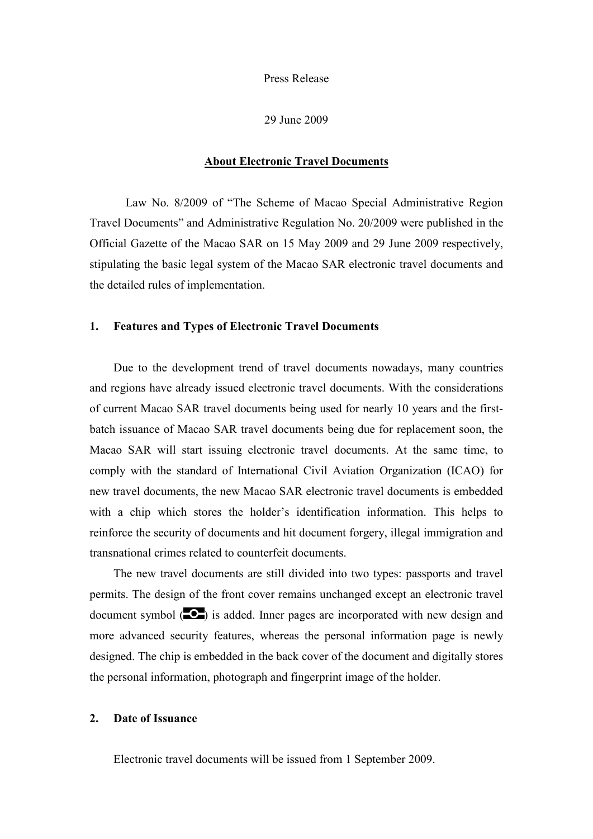Press Release

29 June 2009

#### **About Electronic Travel Documents**

Law No. 8/2009 of "The Scheme of Macao Special Administrative Region Travel Documents" and Administrative Regulation No. 20/2009 were published in the Official Gazette of the Macao SAR on 15 May 2009 and 29 June 2009 respectively, stipulating the basic legal system of the Macao SAR electronic travel documents and the detailed rules of implementation.

#### **1. Features and Types of Electronic Travel Documents**

Due to the development trend of travel documents nowadays, many countries and regions have already issued electronic travel documents. With the considerations of current Macao SAR travel documents being used for nearly 10 years and the firstbatch issuance of Macao SAR travel documents being due for replacement soon, the Macao SAR will start issuing electronic travel documents. At the same time, to comply with the standard of International Civil Aviation Organization (ICAO) for new travel documents, the new Macao SAR electronic travel documents is embedded with a chip which stores the holder's identification information. This helps to reinforce the security of documents and hit document forgery, illegal immigration and transnational crimes related to counterfeit documents.

The new travel documents are still divided into two types: passports and travel permits. The design of the front cover remains unchanged except an electronic travel document symbol  $(2)$  is added. Inner pages are incorporated with new design and more advanced security features, whereas the personal information page is newly designed. The chip is embedded in the back cover of the document and digitally stores the personal information, photograph and fingerprint image of the holder.

### **2. Date of Issuance**

Electronic travel documents will be issued from 1 September 2009.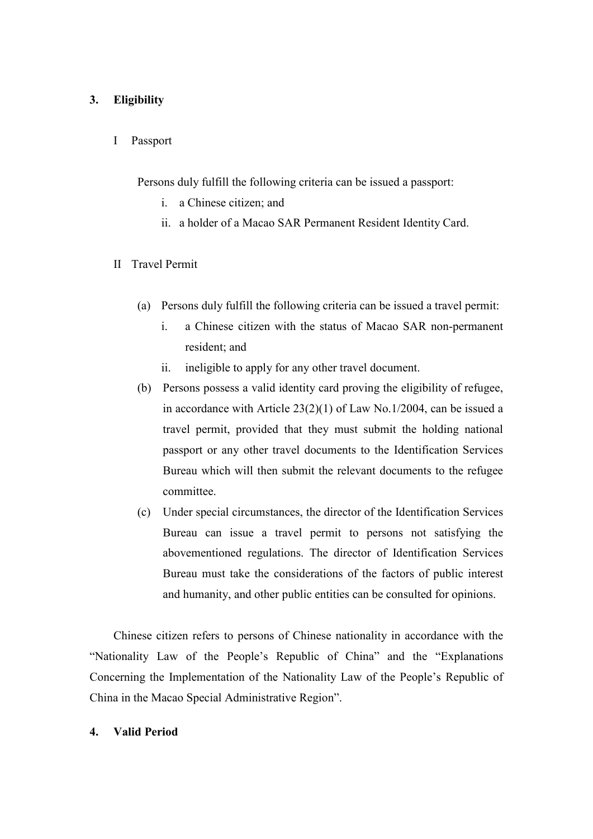### **3. Eligibility**

I Passport

Persons duly fulfill the following criteria can be issued a passport:

- i. a Chinese citizen; and
- ii. a holder of a Macao SAR Permanent Resident Identity Card.
- II Travel Permit
	- (a) Persons duly fulfill the following criteria can be issued a travel permit:
		- i. a Chinese citizen with the status of Macao SAR non-permanent resident; and
		- ii. ineligible to apply for any other travel document.
	- (b) Persons possess a valid identity card proving the eligibility of refugee, in accordance with Article 23(2)(1) of Law No.1/2004, can be issued a travel permit, provided that they must submit the holding national passport or any other travel documents to the Identification Services Bureau which will then submit the relevant documents to the refugee committee.
	- (c) Under special circumstances, the director of the Identification Services Bureau can issue a travel permit to persons not satisfying the abovementioned regulations. The director of Identification Services Bureau must take the considerations of the factors of public interest and humanity, and other public entities can be consulted for opinions.

Chinese citizen refers to persons of Chinese nationality in accordance with the "Nationality Law of the People's Republic of China" and the "Explanations Concerning the Implementation of the Nationality Law of the People's Republic of China in the Macao Special Administrative Region".

### **4. Valid Period**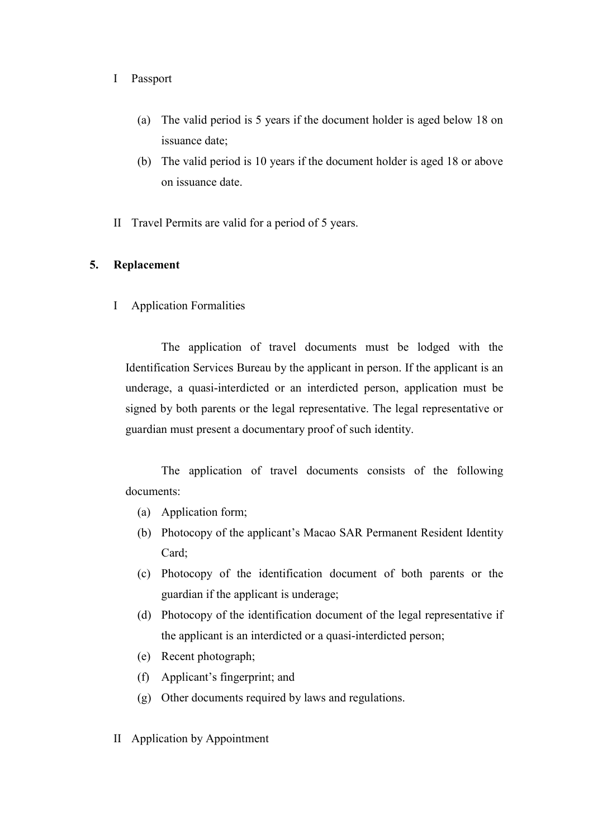### I Passport

- (a) The valid period is 5 years if the document holder is aged below 18 on issuance date;
- (b) The valid period is 10 years if the document holder is aged 18 or above on issuance date.
- II Travel Permits are valid for a period of 5 years.

## **5. Replacement**

I Application Formalities

The application of travel documents must be lodged with the Identification Services Bureau by the applicant in person. If the applicant is an underage, a quasi-interdicted or an interdicted person, application must be signed by both parents or the legal representative. The legal representative or guardian must present a documentary proof of such identity.

The application of travel documents consists of the following documents:

- (a) Application form;
- (b) Photocopy of the applicant's Macao SAR Permanent Resident Identity Card;
- (c) Photocopy of the identification document of both parents or the guardian if the applicant is underage;
- (d) Photocopy of the identification document of the legal representative if the applicant is an interdicted or a quasi-interdicted person;
- (e) Recent photograph;
- (f) Applicant's fingerprint; and
- (g) Other documents required by laws and regulations.
- II Application by Appointment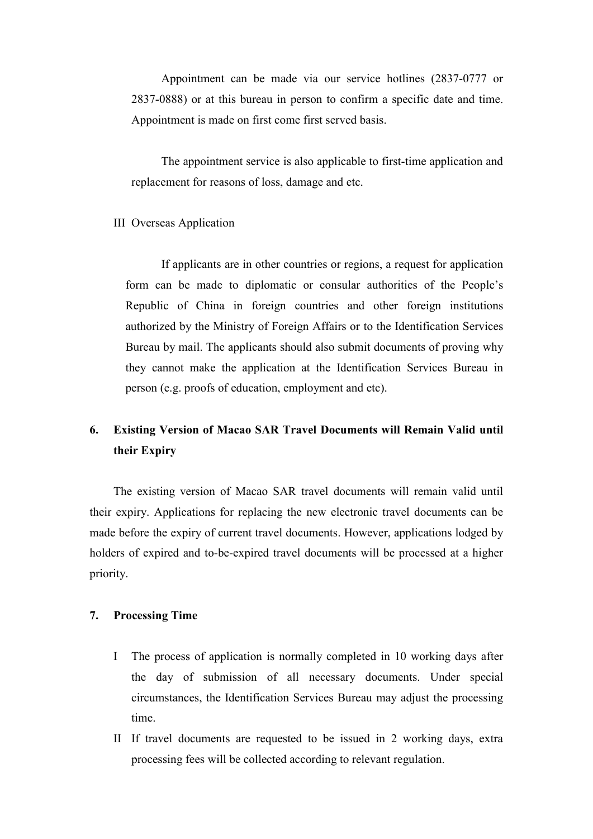Appointment can be made via our service hotlines (2837-0777 or 2837-0888) or at this bureau in person to confirm a specific date and time. Appointment is made on first come first served basis.

The appointment service is also applicable to first-time application and replacement for reasons of loss, damage and etc.

#### III Overseas Application

If applicants are in other countries or regions, a request for application form can be made to diplomatic or consular authorities of the People's Republic of China in foreign countries and other foreign institutions authorized by the Ministry of Foreign Affairs or to the Identification Services Bureau by mail. The applicants should also submit documents of proving why they cannot make the application at the Identification Services Bureau in person (e.g. proofs of education, employment and etc).

# **6. Existing Version of Macao SAR Travel Documents will Remain Valid until their Expiry**

The existing version of Macao SAR travel documents will remain valid until their expiry. Applications for replacing the new electronic travel documents can be made before the expiry of current travel documents. However, applications lodged by holders of expired and to-be-expired travel documents will be processed at a higher priority.

### **7. Processing Time**

- I The process of application is normally completed in 10 working days after the day of submission of all necessary documents. Under special circumstances, the Identification Services Bureau may adjust the processing time.
- II If travel documents are requested to be issued in 2 working days, extra processing fees will be collected according to relevant regulation.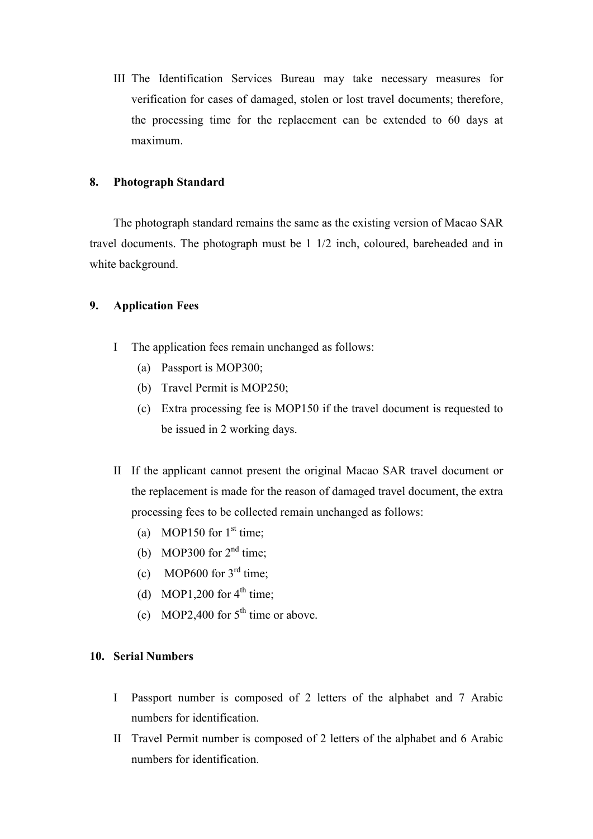III The Identification Services Bureau may take necessary measures for verification for cases of damaged, stolen or lost travel documents; therefore, the processing time for the replacement can be extended to 60 days at maximum.

### **8. Photograph Standard**

The photograph standard remains the same as the existing version of Macao SAR travel documents. The photograph must be 1 1/2 inch, coloured, bareheaded and in white background.

### **9. Application Fees**

- I The application fees remain unchanged as follows:
	- (a) Passport is MOP300;
	- (b) Travel Permit is MOP250;
	- (c) Extra processing fee is MOP150 if the travel document is requested to be issued in 2 working days.
- II If the applicant cannot present the original Macao SAR travel document or the replacement is made for the reason of damaged travel document, the extra processing fees to be collected remain unchanged as follows:
	- (a) MOP150 for  $1<sup>st</sup>$  time;
	- (b) MOP300 for  $2<sup>nd</sup>$  time;
	- (c) MOP600 for  $3<sup>rd</sup>$  time:
	- (d) MOP1,200 for  $4<sup>th</sup>$  time;
	- (e) MOP2,400 for  $5<sup>th</sup>$  time or above.

### **10. Serial Numbers**

- I Passport number is composed of 2 letters of the alphabet and 7 Arabic numbers for identification.
- II Travel Permit number is composed of 2 letters of the alphabet and 6 Arabic numbers for identification.